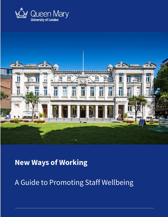



# **New Ways of Working**

A Guide to Promoting Staff Wellbeing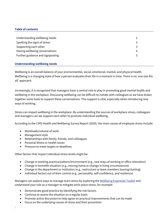# **Table of contents**

| Understanding wellbeing needs    |    |
|----------------------------------|----|
| Spotting the signs of stress     | 3  |
| Supporting each other            | 3  |
| Having wellbeing conversations   | 4  |
| Further guidance and signposting | -5 |
|                                  |    |

## **Understanding wellbeing needs**

Wellbeing is an overall balance of your environmental, social, emotional, mental, and physical health. Wellbeing is a changing state of how a person evaluates their life in a moment in time. There is no 'one size fits all' approach.

Increasingly, it is recognised that managers have a central role to play in promoting good mental health and wellbeing in the workplace. Discussing wellbeing can be difficult to initiate with colleagues so we have drawn together some tools to support these conversations. This support is vital, especially when introducing new ways of working.

Stress can impact wellbeing in the workplace. By understanding the sources of workplace stress, colleagues and managers can we support each other to promote individual wellbeing.

According to the CIPD Health and Wellbeing Survey Report (2020), the main causes of employee stress include:

- Workloads/volume of work
- Management style
- Relationships with family, friends, and colleagues
- Personal illness or health issues
- Pressure to meet targets or deadlines

Other factors that impact individual stress levels might be:

- Change in working practice/pattern/environment (e.g., new ways of working or office relocation)
- Change in homelife situation (e.g., moving home or change in living circumstances)
- Change in the department or institution (e.g., restructure or team members leaving/starting)
- Individual factors out of their control (e.g., personality, self-confidence, and resilience)

Managers can explore ways to manage team stress by exploring the Wellbeing Essentials Toolkit and understand your role as a manager to mitigate work-place stress, for example:

- Demonstrate good practice by identifying the risk factors
- Continue to assess the situation on a regular basis
- Promote active discussion to help agree on practical improvements that can be made
- Focus on the underlying causes of stress and their prevention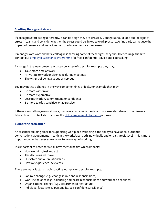# **Spotting the signs of stress**

If colleagues start acting differently, it can be a sign they are stressed. Managers should look out for signs of stress in teams and consider whether the stress could be linked to work pressure. Acting early can reduce the impact of pressure and make it easier to reduce or remove the causes.

If managers are worried that a colleague is showing some of these signs, they should encourage them to contact our Employee Assistance Programme for free, confidential advice and counselling.

A change in the way someone acts can be a sign of stress, for example they may:

- Take more time off work
- Arrive late to work or disengage during meetings
- Show signs of being anxious or nervous

You may notice a change in the way someone thinks or feels, for example they may:

- Be more withdrawn
- Be more hyperactive
- Lose motivation, commitment, or confidence
- Be more tearful, sensitive, or aggressive

If there is something wrong at work, managers can assess the risks of work-related stress in their team and take action to protect staff by using the **HSE Management Standards** approach.

#### **Supporting each other**

An essential building block for supporting workplace wellbeing is the ability to have open, authentic conversations about mental health in the workplace, both individually and on a strategic level – this is more important now than ever as we move to new ways of working.

It's important to note that we all have mental health which impacts:

- How we think, feel and act
- The decisions we make
- Ourselves and our relationships
- How we experience life events

There are many factors that impacting workplace stress, for example:

- Job role change (e.g., change in role and responsibilities)
- Work life balance (e.g., balancing homecare responsibilities and workload deadlines)
- Organisational change (e.g., departmental restructure)
- Individual factors (e.g., personality, self-confidence, resilience)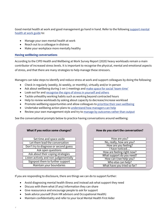Good mental health at work and good management go hand in hand. Refer to the following support mental health at work guide to:

- Manage your own mental health at work
- Reach out to a colleague in distress
- Make your workplace more mentally healthy

# **Having wellbeing conversations**

According to the CIPD Health and Wellbeing at Work Survey Report (2020) heavy workloads remain a main contributor of increased stress levels. It is important to recognise the physical, mental and emotional aspects of stress, and that there are many strategies to help manage these stressors.

Managers can take steps to identify and reduce stress at work and support colleagues by doing the following:

- Check in regularly (weekly, bi-weekly, or monthly), virtually and/or in-person
- Ask about wellbeing during 1-on-1 meetings and make space for social 'team-time'
- Look out for and recognise the signs of stress in yourself and others
- Tackle unhealthy working habits such as working beyond contracted hours
- Help to review workloads by asking about capacity to decrease/increase workload
- Promote wellbeing opportunities and allow colleagues to prioritise their own wellbeing
- Undertake wellbeing action plans to understand how managers can help
- Review your own management style and try to manage by outcomes rather than output

See the conversational prompts below to practice having conversations around wellbeing:

|  | What if you notice some changes? |  |
|--|----------------------------------|--|
|--|----------------------------------|--|

Set time and space aside Let them lead the conversation Don't try to diagnose or second guess Ask open questions Ask about their coping strategies Listen actively and non-judgementally Signpost them to further support Maintain your boundaries

## **How do you start the conversation?**

| How are you?                |
|-----------------------------|
| No, really, how are you?    |
| How are you feeling?        |
| I have noticed              |
| How are feeling right now?  |
| What support do you need?   |
| How can I/we help you?      |
| Who else can help?          |
| What have you tried so far? |

If you are responding to disclosure, there are things we can do to support further:

- Avoid diagnosing mental health illness and instead ask what support they need
- Discuss with them what (if any) information they can share
- Give reassurance and encourage people to ask for support
- Seek advice yourself (from HR advisors and Occupational Health)
- Maintain confidentiality and refer to your local Mental Health First Aider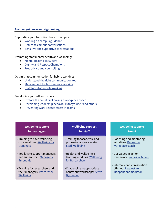#### **Further guidance and signposting**

Supporting your transition back to campus:

- Working on campus guidance
- Return to campus conversations
- Sensitive and supportive conversations

Promoting staff mental health and wellbeing:

- Mental Health First Aiders
- Dignity and Respect Champions
- Free advice and counselling

# Optimising communication for hybrid working:

- Understand the right communication tool
- Management tools for remote working
- Staff tools for remote working

# Developing yourself and others:

- Explore the benefits of having a workplace coach
- Developing leadership behaviours for yourself and others
- Preventing work-related stress in teams

# **Wellbeing support for managers**

- •Training to have wellbeing conversations: Wellbeing for **Managers**
- •Toolkits to support managers and supervisors: Manager's **Essentials**
- •Training for researchers and their managers: Researcher Wellbeing

# **Wellbeing support for staff**

- •Training for academic and professional services staff: Staff Wellbeing
- •Health and wellbeing elearning modules: Wellbeing for Researchers
- •Challenging inappropriate behaviour workshops: Active Bystander

# **Wellbeing support 1-on-1**

- •Coaching and mentoring initiatives: Request a workplace coach
- •Our values in action framework: Values in Action
- •Internal conflict resolution offering: Request an independent mediator